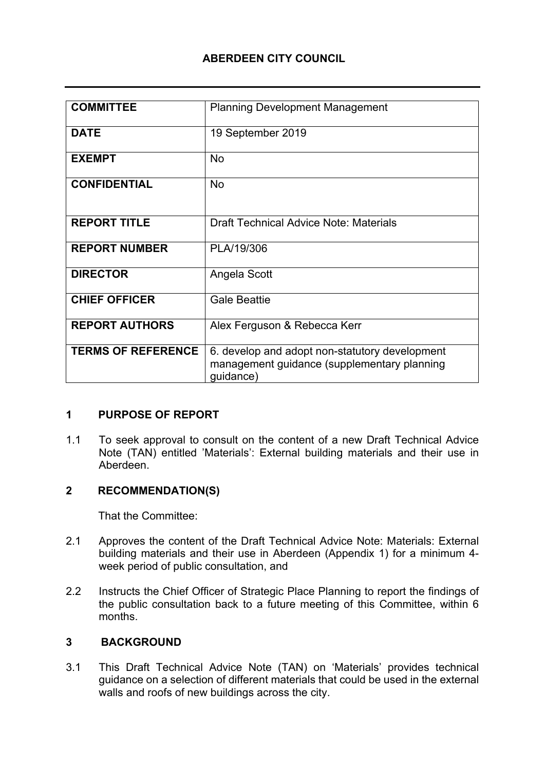# **ABERDEEN CITY COUNCIL**

| <b>COMMITTEE</b>          | <b>Planning Development Management</b>                                                                     |
|---------------------------|------------------------------------------------------------------------------------------------------------|
| <b>DATE</b>               | 19 September 2019                                                                                          |
| <b>EXEMPT</b>             | <b>No</b>                                                                                                  |
| <b>CONFIDENTIAL</b>       | <b>No</b>                                                                                                  |
| <b>REPORT TITLE</b>       | <b>Draft Technical Advice Note: Materials</b>                                                              |
| <b>REPORT NUMBER</b>      | PLA/19/306                                                                                                 |
| <b>DIRECTOR</b>           | Angela Scott                                                                                               |
| <b>CHIEF OFFICER</b>      | <b>Gale Beattie</b>                                                                                        |
| <b>REPORT AUTHORS</b>     | Alex Ferguson & Rebecca Kerr                                                                               |
| <b>TERMS OF REFERENCE</b> | 6. develop and adopt non-statutory development<br>management guidance (supplementary planning<br>guidance) |

#### **1 PURPOSE OF REPORT**

1.1 To seek approval to consult on the content of a new Draft Technical Advice Note (TAN) entitled 'Materials': External building materials and their use in Aberdeen.

## **2 RECOMMENDATION(S)**

That the Committee:

- 2.1 Approves the content of the Draft Technical Advice Note: Materials: External building materials and their use in Aberdeen (Appendix 1) for a minimum 4 week period of public consultation, and
- 2.2 Instructs the Chief Officer of Strategic Place Planning to report the findings of the public consultation back to a future meeting of this Committee, within 6 months.

## **3 BACKGROUND**

3.1 This Draft Technical Advice Note (TAN) on 'Materials' provides technical guidance on a selection of different materials that could be used in the external walls and roofs of new buildings across the city.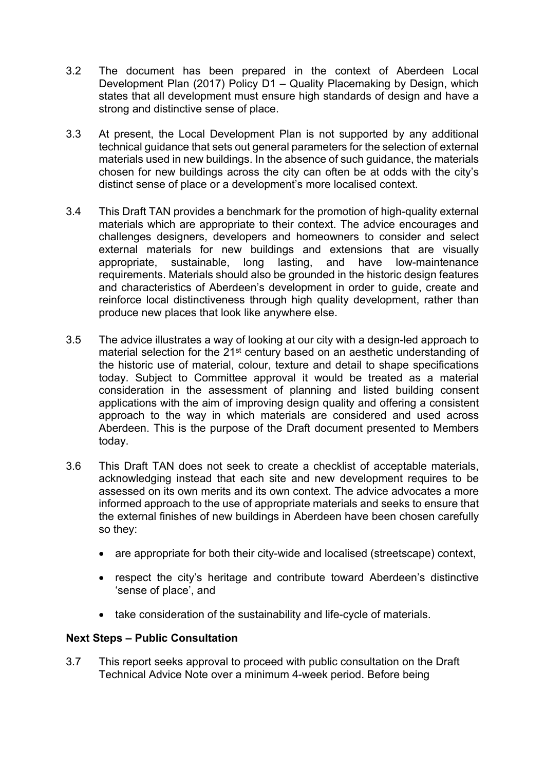- 3.2 The document has been prepared in the context of Aberdeen Local Development Plan (2017) Policy D1 – Quality Placemaking by Design, which states that all development must ensure high standards of design and have a strong and distinctive sense of place.
- 3.3 At present, the Local Development Plan is not supported by any additional technical guidance that sets out general parameters for the selection of external materials used in new buildings. In the absence of such guidance, the materials chosen for new buildings across the city can often be at odds with the city's distinct sense of place or a development's more localised context.
- 3.4 This Draft TAN provides a benchmark for the promotion of high-quality external materials which are appropriate to their context. The advice encourages and challenges designers, developers and homeowners to consider and select external materials for new buildings and extensions that are visually appropriate, sustainable, long lasting, and have low-maintenance requirements. Materials should also be grounded in the historic design features and characteristics of Aberdeen's development in order to guide, create and reinforce local distinctiveness through high quality development, rather than produce new places that look like anywhere else.
- 3.5 The advice illustrates a way of looking at our city with a design-led approach to material selection for the 21<sup>st</sup> century based on an aesthetic understanding of the historic use of material, colour, texture and detail to shape specifications today. Subject to Committee approval it would be treated as a material consideration in the assessment of planning and listed building consent applications with the aim of improving design quality and offering a consistent approach to the way in which materials are considered and used across Aberdeen. This is the purpose of the Draft document presented to Members today.
- 3.6 This Draft TAN does not seek to create a checklist of acceptable materials, acknowledging instead that each site and new development requires to be assessed on its own merits and its own context. The advice advocates a more informed approach to the use of appropriate materials and seeks to ensure that the external finishes of new buildings in Aberdeen have been chosen carefully so they:
	- are appropriate for both their city-wide and localised (streetscape) context,
	- respect the city's heritage and contribute toward Aberdeen's distinctive 'sense of place', and
	- take consideration of the sustainability and life-cycle of materials.

#### **Next Steps – Public Consultation**

3.7 This report seeks approval to proceed with public consultation on the Draft Technical Advice Note over a minimum 4-week period. Before being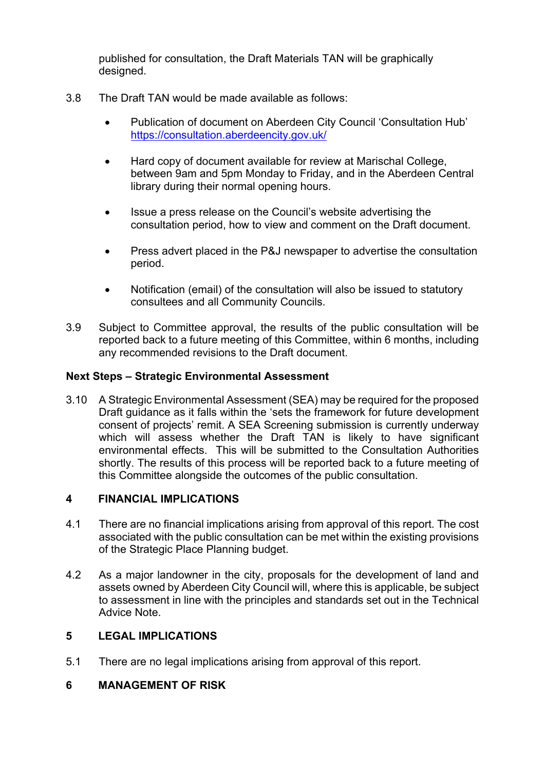published for consultation, the Draft Materials TAN will be graphically designed.

- 3.8 The Draft TAN would be made available as follows:
	- Publication of document on Aberdeen City Council 'Consultation Hub' <https://consultation.aberdeencity.gov.uk/>
	- Hard copy of document available for review at Marischal College, between 9am and 5pm Monday to Friday, and in the Aberdeen Central library during their normal opening hours.
	- Issue a press release on the Council's website advertising the consultation period, how to view and comment on the Draft document.
	- Press advert placed in the P&J newspaper to advertise the consultation period.
	- Notification (email) of the consultation will also be issued to statutory consultees and all Community Councils.
- 3.9 Subject to Committee approval, the results of the public consultation will be reported back to a future meeting of this Committee, within 6 months, including any recommended revisions to the Draft document.

# **Next Steps – Strategic Environmental Assessment**

3.10 A Strategic Environmental Assessment (SEA) may be required for the proposed Draft guidance as it falls within the 'sets the framework for future development consent of projects' remit. A SEA Screening submission is currently underway which will assess whether the Draft TAN is likely to have significant environmental effects. This will be submitted to the Consultation Authorities shortly. The results of this process will be reported back to a future meeting of this Committee alongside the outcomes of the public consultation.

## **4 FINANCIAL IMPLICATIONS**

- 4.1 There are no financial implications arising from approval of this report. The cost associated with the public consultation can be met within the existing provisions of the Strategic Place Planning budget.
- 4.2 As a major landowner in the city, proposals for the development of land and assets owned by Aberdeen City Council will, where this is applicable, be subject to assessment in line with the principles and standards set out in the Technical Advice Note.

#### **5 LEGAL IMPLICATIONS**

5.1 There are no legal implications arising from approval of this report.

# **6 MANAGEMENT OF RISK**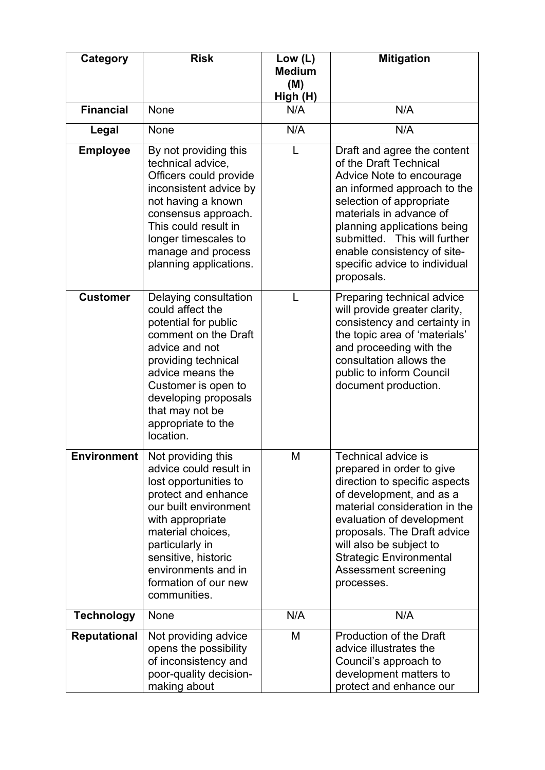| Category            | <b>Risk</b>                                                                                                                                                                                                                                                             | Low $(L)$<br><b>Medium</b> | <b>Mitigation</b>                                                                                                                                                                                                                                                                                                    |
|---------------------|-------------------------------------------------------------------------------------------------------------------------------------------------------------------------------------------------------------------------------------------------------------------------|----------------------------|----------------------------------------------------------------------------------------------------------------------------------------------------------------------------------------------------------------------------------------------------------------------------------------------------------------------|
|                     |                                                                                                                                                                                                                                                                         | (M)<br>High (H)            |                                                                                                                                                                                                                                                                                                                      |
| <b>Financial</b>    | None                                                                                                                                                                                                                                                                    | N/A                        | N/A                                                                                                                                                                                                                                                                                                                  |
| Legal               | None                                                                                                                                                                                                                                                                    | N/A                        | N/A                                                                                                                                                                                                                                                                                                                  |
| <b>Employee</b>     | By not providing this<br>technical advice,<br>Officers could provide<br>inconsistent advice by<br>not having a known<br>consensus approach.<br>This could result in<br>longer timescales to<br>manage and process<br>planning applications.                             | L                          | Draft and agree the content<br>of the Draft Technical<br>Advice Note to encourage<br>an informed approach to the<br>selection of appropriate<br>materials in advance of<br>planning applications being<br>submitted. This will further<br>enable consistency of site-<br>specific advice to individual<br>proposals. |
| <b>Customer</b>     | Delaying consultation<br>could affect the<br>potential for public<br>comment on the Draft<br>advice and not<br>providing technical<br>advice means the<br>Customer is open to<br>developing proposals<br>that may not be<br>appropriate to the<br>location.             | L                          | Preparing technical advice<br>will provide greater clarity,<br>consistency and certainty in<br>the topic area of 'materials'<br>and proceeding with the<br>consultation allows the<br>public to inform Council<br>document production.                                                                               |
| <b>Environment</b>  | Not providing this<br>advice could result in<br>lost opportunities to<br>protect and enhance<br>our built environment<br>with appropriate<br>material choices.<br>particularly in<br>sensitive, historic<br>environments and in<br>formation of our new<br>communities. | М                          | Technical advice is<br>prepared in order to give<br>direction to specific aspects<br>of development, and as a<br>material consideration in the<br>evaluation of development<br>proposals. The Draft advice<br>will also be subject to<br><b>Strategic Environmental</b><br>Assessment screening<br>processes.        |
| <b>Technology</b>   | None                                                                                                                                                                                                                                                                    | N/A                        | N/A                                                                                                                                                                                                                                                                                                                  |
| <b>Reputational</b> | Not providing advice<br>opens the possibility<br>of inconsistency and<br>poor-quality decision-<br>making about                                                                                                                                                         | M                          | Production of the Draft<br>advice illustrates the<br>Council's approach to<br>development matters to<br>protect and enhance our                                                                                                                                                                                      |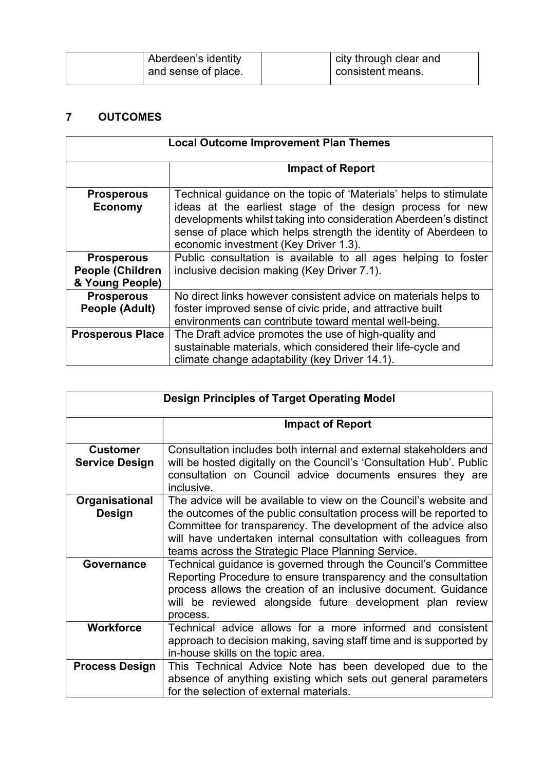| city through clear and<br>Aberdeen's identity<br>consistent means.<br>and sense of place. |  |
|-------------------------------------------------------------------------------------------|--|
|-------------------------------------------------------------------------------------------|--|

# **7 OUTCOMES**

| <b>Local Outcome Improvement Plan Themes</b>                    |                                                                                                                                                                                                                                                                                                                 |
|-----------------------------------------------------------------|-----------------------------------------------------------------------------------------------------------------------------------------------------------------------------------------------------------------------------------------------------------------------------------------------------------------|
|                                                                 | <b>Impact of Report</b>                                                                                                                                                                                                                                                                                         |
| <b>Prosperous</b><br><b>Economy</b>                             | Technical guidance on the topic of 'Materials' helps to stimulate<br>ideas at the earliest stage of the design process for new<br>developments whilst taking into consideration Aberdeen's distinct<br>sense of place which helps strength the identity of Aberdeen to<br>economic investment (Key Driver 1.3). |
| <b>Prosperous</b><br><b>People (Children</b><br>& Young People) | Public consultation is available to all ages helping to foster<br>inclusive decision making (Key Driver 7.1).                                                                                                                                                                                                   |
| <b>Prosperous</b><br>People (Adult)                             | No direct links however consistent advice on materials helps to<br>foster improved sense of civic pride, and attractive built<br>environments can contribute toward mental well-being.                                                                                                                          |
| <b>Prosperous Place</b>                                         | The Draft advice promotes the use of high-quality and<br>sustainable materials, which considered their life-cycle and<br>climate change adaptability (key Driver 14.1).                                                                                                                                         |

| <b>Design Principles of Target Operating Model</b> |                                                                                                                                                                                                                                                                                                                                     |
|----------------------------------------------------|-------------------------------------------------------------------------------------------------------------------------------------------------------------------------------------------------------------------------------------------------------------------------------------------------------------------------------------|
|                                                    | <b>Impact of Report</b>                                                                                                                                                                                                                                                                                                             |
| <b>Customer</b><br><b>Service Design</b>           | Consultation includes both internal and external stakeholders and<br>will be hosted digitally on the Council's 'Consultation Hub'. Public<br>consultation on Council advice documents ensures they are<br>inclusive.                                                                                                                |
| Organisational<br><b>Design</b>                    | The advice will be available to view on the Council's website and<br>the outcomes of the public consultation process will be reported to<br>Committee for transparency. The development of the advice also<br>will have undertaken internal consultation with colleagues from<br>teams across the Strategic Place Planning Service. |
| Governance                                         | Technical guidance is governed through the Council's Committee<br>Reporting Procedure to ensure transparency and the consultation<br>process allows the creation of an inclusive document. Guidance<br>will be reviewed alongside future development plan review<br>process.                                                        |
| <b>Workforce</b>                                   | Technical advice allows for a more informed and consistent<br>approach to decision making, saving staff time and is supported by<br>in-house skills on the topic area.                                                                                                                                                              |
| <b>Process Design</b>                              | This Technical Advice Note has been developed due to the<br>absence of anything existing which sets out general parameters<br>for the selection of external materials.                                                                                                                                                              |